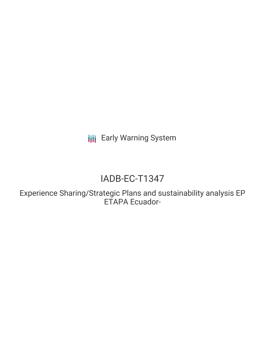**III** Early Warning System

# IADB-EC-T1347

Experience Sharing/Strategic Plans and sustainability analysis EP ETAPA Ecuador-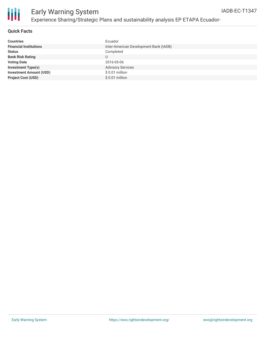

# Early Warning System Experience Sharing/Strategic Plans and sustainability analysis EP ETAPA Ecuador-

## **Quick Facts**

| <b>Countries</b>               | Ecuador                                |
|--------------------------------|----------------------------------------|
| <b>Financial Institutions</b>  | Inter-American Development Bank (IADB) |
| <b>Status</b>                  | Completed                              |
| <b>Bank Risk Rating</b>        |                                        |
| <b>Voting Date</b>             | 2016-05-06                             |
| <b>Investment Type(s)</b>      | <b>Advisory Services</b>               |
| <b>Investment Amount (USD)</b> | $$0.01$ million                        |
| <b>Project Cost (USD)</b>      | $$0.01$ million                        |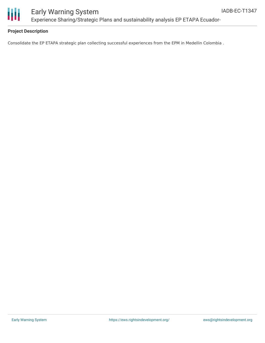

## **Project Description**

Consolidate the EP ETAPA strategic plan collecting successful experiences from the EPM in Medellin Colombia .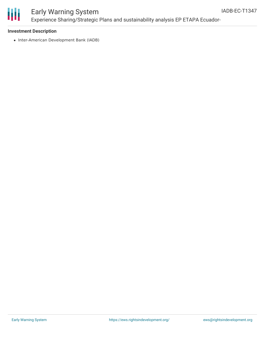

# Early Warning System Experience Sharing/Strategic Plans and sustainability analysis EP ETAPA Ecuador-

#### **Investment Description**

• Inter-American Development Bank (IADB)